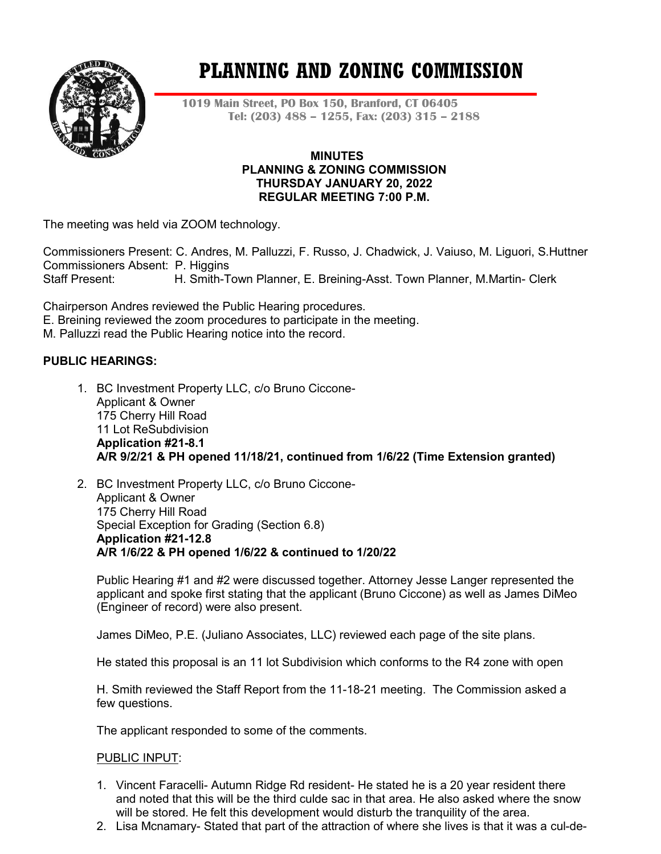

# **PLANNING AND ZONING COMMISSION**

**1019 Main Street, PO Box 150, Branford, CT 06405 Tel: (203) 488 – 1255, Fax: (203) 315 – 2188**

#### **MINUTES PLANNING & ZONING COMMISSION THURSDAY JANUARY 20, 2022 REGULAR MEETING 7:00 P.M.**

The meeting was held via ZOOM technology.

Commissioners Present: C. Andres, M. Palluzzi, F. Russo, J. Chadwick, J. Vaiuso, M. Liguori, S.Huttner Commissioners Absent: P. Higgins<br>Staff Present: H. Smith-To H. Smith-Town Planner, E. Breining-Asst. Town Planner, M.Martin- Clerk

Chairperson Andres reviewed the Public Hearing procedures.

E. Breining reviewed the zoom procedures to participate in the meeting.

M. Palluzzi read the Public Hearing notice into the record.

## **PUBLIC HEARINGS:**

- 1. BC Investment Property LLC, c/o Bruno Ciccone-Applicant & Owner 175 Cherry Hill Road 11 Lot ReSubdivision **Application #21-8.1 A/R 9/2/21 & PH opened 11/18/21, continued from 1/6/22 (Time Extension granted)**
- 2. BC Investment Property LLC, c/o Bruno Ciccone-Applicant & Owner 175 Cherry Hill Road Special Exception for Grading (Section 6.8) **Application #21-12.8 A/R 1/6/22 & PH opened 1/6/22 & continued to 1/20/22**

Public Hearing #1 and #2 were discussed together. Attorney Jesse Langer represented the applicant and spoke first stating that the applicant (Bruno Ciccone) as well as James DiMeo (Engineer of record) were also present.

James DiMeo, P.E. (Juliano Associates, LLC) reviewed each page of the site plans.

He stated this proposal is an 11 lot Subdivision which conforms to the R4 zone with open

H. Smith reviewed the Staff Report from the 11-18-21 meeting. The Commission asked a few questions.

The applicant responded to some of the comments.

#### PUBLIC INPUT:

- 1. Vincent Faracelli- Autumn Ridge Rd resident- He stated he is a 20 year resident there and noted that this will be the third culde sac in that area. He also asked where the snow will be stored. He felt this development would disturb the tranquility of the area.
- 2. Lisa Mcnamary- Stated that part of the attraction of where she lives is that it was a cul-de-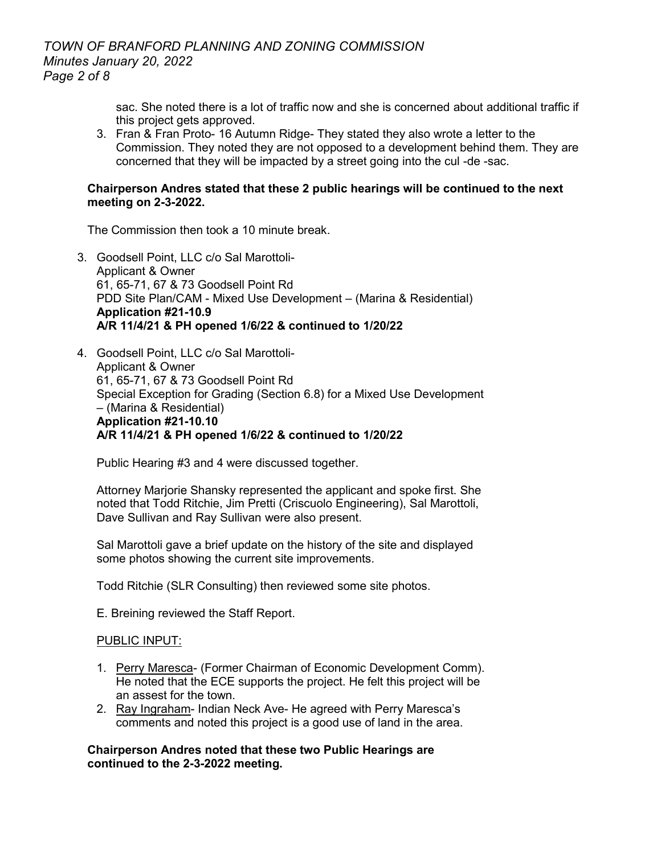# *TOWN OF BRANFORD PLANNING AND ZONING COMMISSION Minutes January 20, 2022 Page 2 of 8*

sac. She noted there is a lot of traffic now and she is concerned about additional traffic if this project gets approved.

3. Fran & Fran Proto- 16 Autumn Ridge- They stated they also wrote a letter to the Commission. They noted they are not opposed to a development behind them. They are concerned that they will be impacted by a street going into the cul -de -sac.

#### **Chairperson Andres stated that these 2 public hearings will be continued to the next meeting on 2-3-2022.**

The Commission then took a 10 minute break.

- 3. Goodsell Point, LLC c/o Sal Marottoli-Applicant & Owner 61, 65-71, 67 & 73 Goodsell Point Rd PDD Site Plan/CAM - Mixed Use Development – (Marina & Residential) **Application #21-10.9 A/R 11/4/21 & PH opened 1/6/22 & continued to 1/20/22**
- 4. Goodsell Point, LLC c/o Sal Marottoli-Applicant & Owner 61, 65-71, 67 & 73 Goodsell Point Rd Special Exception for Grading (Section 6.8) for a Mixed Use Development – (Marina & Residential) **Application #21-10.10 A/R 11/4/21 & PH opened 1/6/22 & continued to 1/20/22**

Public Hearing #3 and 4 were discussed together.

Attorney Marjorie Shansky represented the applicant and spoke first. She noted that Todd Ritchie, Jim Pretti (Criscuolo Engineering), Sal Marottoli, Dave Sullivan and Ray Sullivan were also present.

Sal Marottoli gave a brief update on the history of the site and displayed some photos showing the current site improvements.

Todd Ritchie (SLR Consulting) then reviewed some site photos.

E. Breining reviewed the Staff Report.

#### PUBLIC INPUT:

- 1. Perry Maresca- (Former Chairman of Economic Development Comm). He noted that the ECE supports the project. He felt this project will be an assest for the town.
- 2. Ray Ingraham- Indian Neck Ave- He agreed with Perry Maresca's comments and noted this project is a good use of land in the area.

#### **Chairperson Andres noted that these two Public Hearings are continued to the 2-3-2022 meeting.**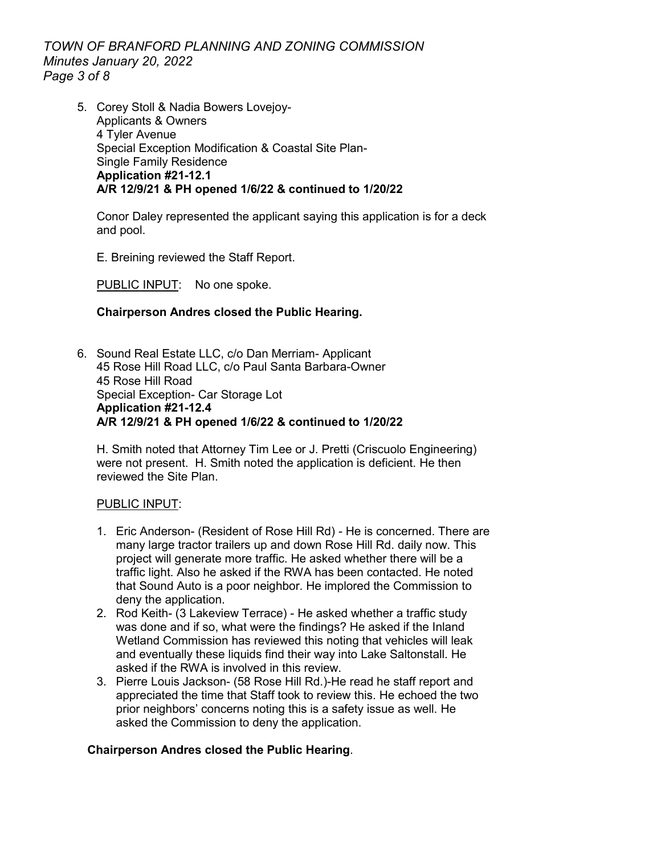*TOWN OF BRANFORD PLANNING AND ZONING COMMISSION Minutes January 20, 2022 Page 3 of 8*

5. Corey Stoll & Nadia Bowers Lovejoy-Applicants & Owners 4 Tyler Avenue Special Exception Modification & Coastal Site Plan-Single Family Residence **Application #21-12.1 A/R 12/9/21 & PH opened 1/6/22 & continued to 1/20/22**

Conor Daley represented the applicant saying this application is for a deck and pool.

E. Breining reviewed the Staff Report.

PUBLIC INPUT: No one spoke.

# **Chairperson Andres closed the Public Hearing.**

6. Sound Real Estate LLC, c/o Dan Merriam- Applicant 45 Rose Hill Road LLC, c/o Paul Santa Barbara-Owner 45 Rose Hill Road Special Exception- Car Storage Lot **Application #21-12.4 A/R 12/9/21 & PH opened 1/6/22 & continued to 1/20/22**

H. Smith noted that Attorney Tim Lee or J. Pretti (Criscuolo Engineering) were not present. H. Smith noted the application is deficient. He then reviewed the Site Plan.

## PUBLIC INPUT:

- 1. Eric Anderson- (Resident of Rose Hill Rd) He is concerned. There are many large tractor trailers up and down Rose Hill Rd. daily now. This project will generate more traffic. He asked whether there will be a traffic light. Also he asked if the RWA has been contacted. He noted that Sound Auto is a poor neighbor. He implored the Commission to deny the application.
- 2. Rod Keith- (3 Lakeview Terrace) He asked whether a traffic study was done and if so, what were the findings? He asked if the Inland Wetland Commission has reviewed this noting that vehicles will leak and eventually these liquids find their way into Lake Saltonstall. He asked if the RWA is involved in this review.
- 3. Pierre Louis Jackson- (58 Rose Hill Rd.)-He read he staff report and appreciated the time that Staff took to review this. He echoed the two prior neighbors' concerns noting this is a safety issue as well. He asked the Commission to deny the application.

## **Chairperson Andres closed the Public Hearing**.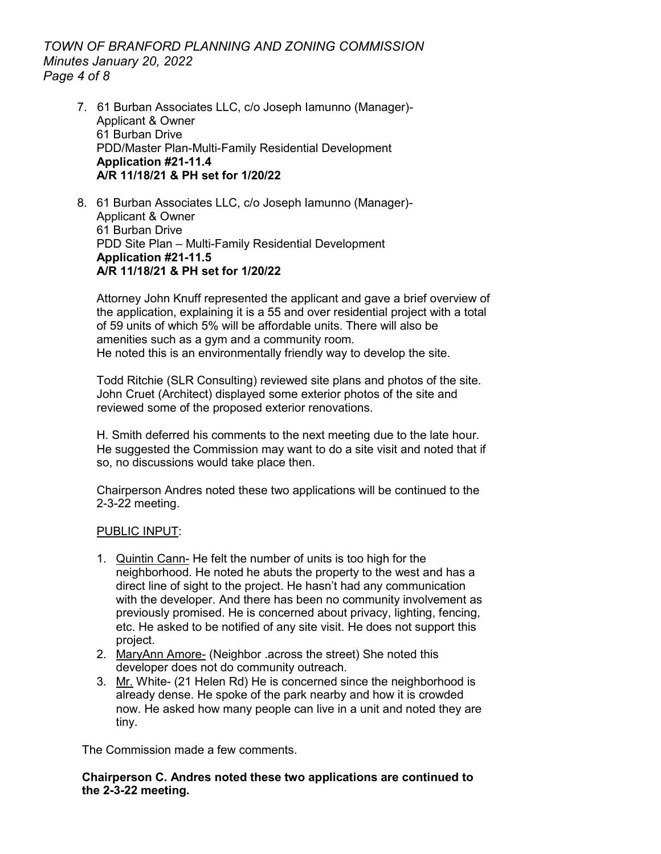# *TOWN OF BRANFORD PLANNING AND ZONING COMMISSION Minutes January 20, 2022 Page 4 of 8*

- 7. 61 Burban Associates LLC, c/o Joseph Iamunno (Manager)- Applicant & Owner 61 Burban Drive PDD/Master Plan-Multi-Family Residential Development **Application #21-11.4 A/R 11/18/21 & PH set for 1/20/22**
- 8. 61 Burban Associates LLC, c/o Joseph Iamunno (Manager)- Applicant & Owner 61 Burban Drive PDD Site Plan – Multi-Family Residential Development **Application #21-11.5 A/R 11/18/21 & PH set for 1/20/22**

Attorney John Knuff represented the applicant and gave a brief overview of the application, explaining it is a 55 and over residential project with a total of 59 units of which 5% will be affordable units. There will also be amenities such as a gym and a community room. He noted this is an environmentally friendly way to develop the site.

Todd Ritchie (SLR Consulting) reviewed site plans and photos of the site. John Cruet (Architect) displayed some exterior photos of the site and reviewed some of the proposed exterior renovations.

H. Smith deferred his comments to the next meeting due to the late hour. He suggested the Commission may want to do a site visit and noted that if so, no discussions would take place then.

Chairperson Andres noted these two applications will be continued to the 2-3-22 meeting.

## PUBLIC INPUT:

- 1. Quintin Cann- He felt the number of units is too high for the neighborhood. He noted he abuts the property to the west and has a direct line of sight to the project. He hasn't had any communication with the developer. And there has been no community involvement as previously promised. He is concerned about privacy, lighting, fencing, etc. He asked to be notified of any site visit. He does not support this project.
- 2. MaryAnn Amore- (Neighbor .across the street) She noted this developer does not do community outreach.
- 3. Mr. White- (21 Helen Rd) He is concerned since the neighborhood is already dense. He spoke of the park nearby and how it is crowded now. He asked how many people can live in a unit and noted they are tiny.

The Commission made a few comments.

**Chairperson C. Andres noted these two applications are continued to the 2-3-22 meeting.**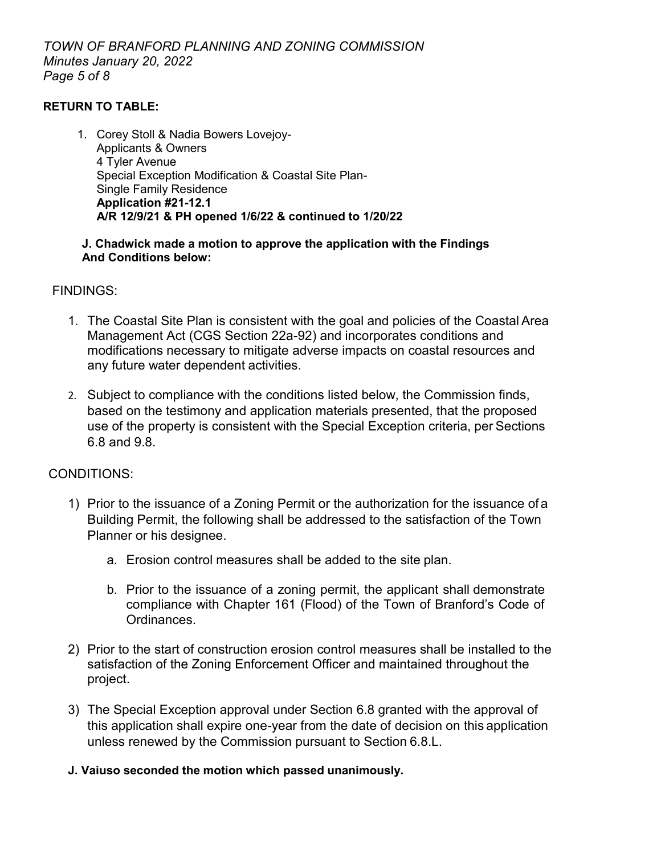*TOWN OF BRANFORD PLANNING AND ZONING COMMISSION Minutes January 20, 2022 Page 5 of 8*

# **RETURN TO TABLE:**

1. Corey Stoll & Nadia Bowers Lovejoy-Applicants & Owners 4 Tyler Avenue Special Exception Modification & Coastal Site Plan-Single Family Residence **Application #21-12.1 A/R 12/9/21 & PH opened 1/6/22 & continued to 1/20/22**

## **J. Chadwick made a motion to approve the application with the Findings And Conditions below:**

# FINDINGS:

- 1. The Coastal Site Plan is consistent with the goal and policies of the Coastal Area Management Act (CGS Section 22a-92) and incorporates conditions and modifications necessary to mitigate adverse impacts on coastal resources and any future water dependent activities.
- 2. Subject to compliance with the conditions listed below, the Commission finds, based on the testimony and application materials presented, that the proposed use of the property is consistent with the Special Exception criteria, per Sections 6.8 and 9.8.

# CONDITIONS:

- 1) Prior to the issuance of a Zoning Permit or the authorization for the issuance ofa Building Permit, the following shall be addressed to the satisfaction of the Town Planner or his designee.
	- a. Erosion control measures shall be added to the site plan.
	- b. Prior to the issuance of a zoning permit, the applicant shall demonstrate compliance with Chapter 161 (Flood) of the Town of Branford's Code of Ordinances.
- 2) Prior to the start of construction erosion control measures shall be installed to the satisfaction of the Zoning Enforcement Officer and maintained throughout the project.
- 3) The Special Exception approval under Section 6.8 granted with the approval of this application shall expire one-year from the date of decision on this application unless renewed by the Commission pursuant to Section 6.8.L.
- **J. Vaiuso seconded the motion which passed unanimously.**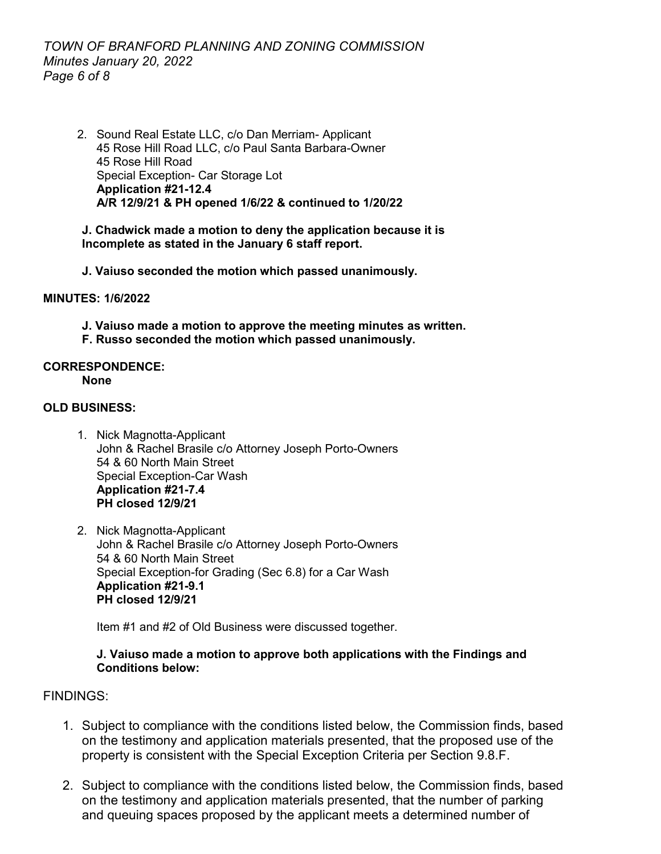# *TOWN OF BRANFORD PLANNING AND ZONING COMMISSION Minutes January 20, 2022 Page 6 of 8*

2. Sound Real Estate LLC, c/o Dan Merriam- Applicant 45 Rose Hill Road LLC, c/o Paul Santa Barbara-Owner 45 Rose Hill Road Special Exception- Car Storage Lot **Application #21-12.4 A/R 12/9/21 & PH opened 1/6/22 & continued to 1/20/22**

#### **J. Chadwick made a motion to deny the application because it is Incomplete as stated in the January 6 staff report.**

**J. Vaiuso seconded the motion which passed unanimously.** 

#### **MINUTES: 1/6/2022**

**J. Vaiuso made a motion to approve the meeting minutes as written.**

**F. Russo seconded the motion which passed unanimously.** 

# **CORRESPONDENCE:**

**None**

## **OLD BUSINESS:**

- 1. Nick Magnotta-Applicant John & Rachel Brasile c/o Attorney Joseph Porto-Owners 54 & 60 North Main Street Special Exception-Car Wash **Application #21-7.4 PH closed 12/9/21**
- 2. Nick Magnotta-Applicant John & Rachel Brasile c/o Attorney Joseph Porto-Owners 54 & 60 North Main Street Special Exception-for Grading (Sec 6.8) for a Car Wash **Application #21-9.1 PH closed 12/9/21**

Item #1 and #2 of Old Business were discussed together.

## **J. Vaiuso made a motion to approve both applications with the Findings and Conditions below:**

# FINDINGS:

- 1. Subject to compliance with the conditions listed below, the Commission finds, based on the testimony and application materials presented, that the proposed use of the property is consistent with the Special Exception Criteria per Section 9.8.F.
- 2. Subject to compliance with the conditions listed below, the Commission finds, based on the testimony and application materials presented, that the number of parking and queuing spaces proposed by the applicant meets a determined number of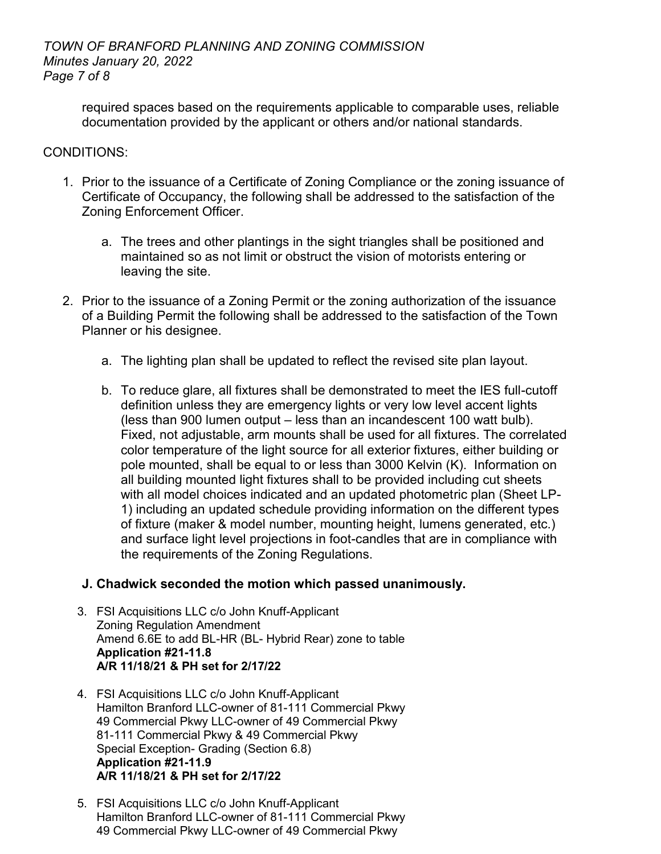required spaces based on the requirements applicable to comparable uses, reliable documentation provided by the applicant or others and/or national standards.

# CONDITIONS:

- 1. Prior to the issuance of a Certificate of Zoning Compliance or the zoning issuance of Certificate of Occupancy, the following shall be addressed to the satisfaction of the Zoning Enforcement Officer.
	- a. The trees and other plantings in the sight triangles shall be positioned and maintained so as not limit or obstruct the vision of motorists entering or leaving the site.
- 2. Prior to the issuance of a Zoning Permit or the zoning authorization of the issuance of a Building Permit the following shall be addressed to the satisfaction of the Town Planner or his designee.
	- a. The lighting plan shall be updated to reflect the revised site plan layout.
	- b. To reduce glare, all fixtures shall be demonstrated to meet the IES full-cutoff definition unless they are emergency lights or very low level accent lights (less than 900 lumen output – less than an incandescent 100 watt bulb). Fixed, not adjustable, arm mounts shall be used for all fixtures. The correlated color temperature of the light source for all exterior fixtures, either building or pole mounted, shall be equal to or less than 3000 Kelvin (K). Information on all building mounted light fixtures shall to be provided including cut sheets with all model choices indicated and an updated photometric plan (Sheet LP-1) including an updated schedule providing information on the different types of fixture (maker & model number, mounting height, lumens generated, etc.) and surface light level projections in foot-candles that are in compliance with the requirements of the Zoning Regulations.

# **J. Chadwick seconded the motion which passed unanimously.**

- 3. FSI Acquisitions LLC c/o John Knuff-Applicant Zoning Regulation Amendment Amend 6.6E to add BL-HR (BL- Hybrid Rear) zone to table **Application #21-11.8 A/R 11/18/21 & PH set for 2/17/22**
- 4. FSI Acquisitions LLC c/o John Knuff-Applicant Hamilton Branford LLC-owner of 81-111 Commercial Pkwy 49 Commercial Pkwy LLC-owner of 49 Commercial Pkwy 81-111 Commercial Pkwy & 49 Commercial Pkwy Special Exception- Grading (Section 6.8) **Application #21-11.9 A/R 11/18/21 & PH set for 2/17/22**
- 5. FSI Acquisitions LLC c/o John Knuff-Applicant Hamilton Branford LLC-owner of 81-111 Commercial Pkwy 49 Commercial Pkwy LLC-owner of 49 Commercial Pkwy